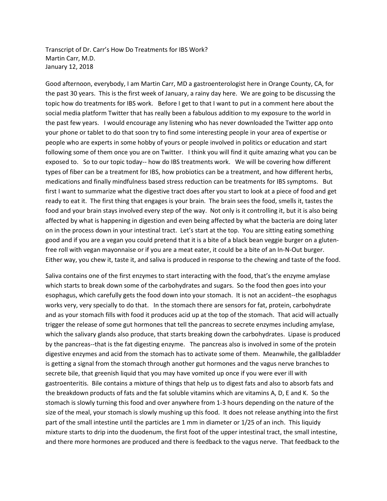Transcript of Dr. Carr's How Do Treatments for IBS Work? Martin Carr, M.D. January 12, 2018

Good afternoon, everybody, I am Martin Carr, MD a gastroenterologist here in Orange County, CA, for the past 30 years. This is the first week of January, a rainy day here. We are going to be discussing the topic how do treatments for IBS work. Before I get to that I want to put in a comment here about the social media platform Twitter that has really been a fabulous addition to my exposure to the world in the past few years. I would encourage any listening who has never downloaded the Twitter app onto your phone or tablet to do that soon try to find some interesting people in your area of expertise or people who are experts in some hobby of yours or people involved in politics or education and start following some of them once you are on Twitter. I think you will find it quite amazing what you can be exposed to. So to our topic today-- how do IBS treatments work. We will be covering how different types of fiber can be a treatment for IBS, how probiotics can be a treatment, and how different herbs, medications and finally mindfulness based stress reduction can be treatments for IBS symptoms. But first I want to summarize what the digestive tract does after you start to look at a piece of food and get ready to eat it. The first thing that engages is your brain. The brain sees the food, smells it, tastes the food and your brain stays involved every step of the way. Not only is it controlling it, but it is also being affected by what is happening in digestion and even being affected by what the bacteria are doing later on in the process down in your intestinal tract. Let's start at the top. You are sitting eating something good and if you are a vegan you could pretend that it is a bite of a black bean veggie burger on a glutenfree roll with vegan mayonnaise or if you are a meat eater, it could be a bite of an In-N-Out burger. Either way, you chew it, taste it, and saliva is produced in response to the chewing and taste of the food.

Saliva contains one of the first enzymes to start interacting with the food, that's the enzyme amylase which starts to break down some of the carbohydrates and sugars. So the food then goes into your esophagus, which carefully gets the food down into your stomach. It is not an accident--the esophagus works very, very specially to do that. In the stomach there are sensors for fat, protein, carbohydrate and as your stomach fills with food it produces acid up at the top of the stomach. That acid will actually trigger the release of some gut hormones that tell the pancreas to secrete enzymes including amylase, which the salivary glands also produce, that starts breaking down the carbohydrates. Lipase is produced by the pancreas--that is the fat digesting enzyme. The pancreas also is involved in some of the protein digestive enzymes and acid from the stomach has to activate some of them. Meanwhile, the gallbladder is getting a signal from the stomach through another gut hormones and the vagus nerve branches to secrete bile, that greenish liquid that you may have vomited up once if you were ever ill with gastroenteritis. Bile contains a mixture of things that help us to digest fats and also to absorb fats and the breakdown products of fats and the fat soluble vitamins which are vitamins A, D, E and K. So the stomach is slowly turning this food and over anywhere from 1-3 hours depending on the nature of the size of the meal, your stomach is slowly mushing up this food. It does not release anything into the first part of the small intestine until the particles are 1 mm in diameter or 1/25 of an inch. This liquidy mixture starts to drip into the duodenum, the first foot of the upper intestinal tract, the small intestine, and there more hormones are produced and there is feedback to the vagus nerve. That feedback to the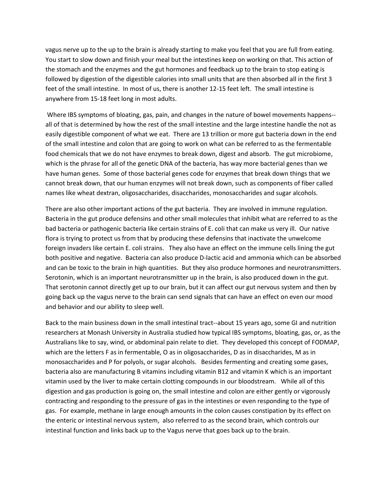vagus nerve up to the up to the brain is already starting to make you feel that you are full from eating. You start to slow down and finish your meal but the intestines keep on working on that. This action of the stomach and the enzymes and the gut hormones and feedback up to the brain to stop eating is followed by digestion of the digestible calories into small units that are then absorbed all in the first 3 feet of the small intestine. In most of us, there is another 12-15 feet left. The small intestine is anywhere from 15-18 feet long in most adults.

Where IBS symptoms of bloating, gas, pain, and changes in the nature of bowel movements happens- all of that is determined by how the rest of the small intestine and the large intestine handle the not as easily digestible component of what we eat. There are 13 trillion or more gut bacteria down in the end of the small intestine and colon that are going to work on what can be referred to as the fermentable food chemicals that we do not have enzymes to break down, digest and absorb. The gut microbiome, which is the phrase for all of the genetic DNA of the bacteria, has way more bacterial genes than we have human genes. Some of those bacterial genes code for enzymes that break down things that we cannot break down, that our human enzymes will not break down, such as components of fiber called names like wheat dextran, oligosaccharides, disaccharides, monosaccharides and sugar alcohols.

There are also other important actions of the gut bacteria. They are involved in immune regulation. Bacteria in the gut produce defensins and other small molecules that inhibit what are referred to as the bad bacteria or pathogenic bacteria like certain strains of E. coli that can make us very ill. Our native flora is trying to protect us from that by producing these defensins that inactivate the unwelcome foreign invaders like certain E. coli strains. They also have an effect on the immune cells lining the gut both positive and negative. Bacteria can also produce D-lactic acid and ammonia which can be absorbed and can be toxic to the brain in high quantities. But they also produce hormones and neurotransmitters. Serotonin, which is an important neurotransmitter up in the brain, is also produced down in the gut. That serotonin cannot directly get up to our brain, but it can affect our gut nervous system and then by going back up the vagus nerve to the brain can send signals that can have an effect on even our mood and behavior and our ability to sleep well.

Back to the main business down in the small intestinal tract--about 15 years ago, some GI and nutrition researchers at Monash University in Australia studied how typical IBS symptoms, bloating, gas, or, as the Australians like to say, wind, or abdominal pain relate to diet. They developed this concept of FODMAP, which are the letters F as in fermentable, O as in oligosaccharides, D as in disaccharides, M as in monosaccharides and P for polyols, or sugar alcohols. Besides fermenting and creating some gases, bacteria also are manufacturing B vitamins including vitamin B12 and vitamin K which is an important vitamin used by the liver to make certain clotting compounds in our bloodstream. While all of this digestion and gas production is going on, the small intestine and colon are either gently or vigorously contracting and responding to the pressure of gas in the intestines or even responding to the type of gas. For example, methane in large enough amounts in the colon causes constipation by its effect on the enteric or intestinal nervous system, also referred to as the second brain, which controls our intestinal function and links back up to the Vagus nerve that goes back up to the brain.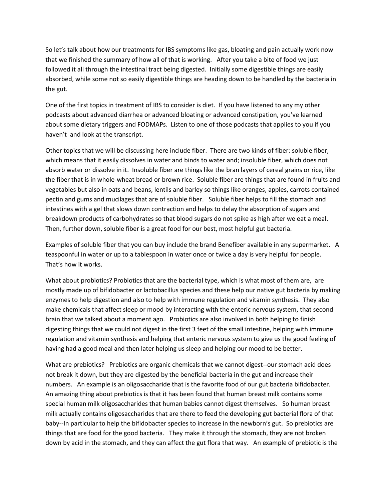So let's talk about how our treatments for IBS symptoms like gas, bloating and pain actually work now that we finished the summary of how all of that is working. After you take a bite of food we just followed it all through the intestinal tract being digested. Initially some digestible things are easily absorbed, while some not so easily digestible things are heading down to be handled by the bacteria in the gut.

One of the first topics in treatment of IBS to consider is diet. If you have listened to any my other podcasts about advanced diarrhea or advanced bloating or advanced constipation, you've learned about some dietary triggers and FODMAPs. Listen to one of those podcasts that applies to you if you haven't and look at the transcript.

Other topics that we will be discussing here include fiber. There are two kinds of fiber: soluble fiber, which means that it easily dissolves in water and binds to water and; insoluble fiber, which does not absorb water or dissolve in it. Insoluble fiber are things like the bran layers of cereal grains or rice, like the fiber that is in whole-wheat bread or brown rice. Soluble fiber are things that are found in fruits and vegetables but also in oats and beans, lentils and barley so things like oranges, apples, carrots contained pectin and gums and mucilages that are of soluble fiber. Soluble fiber helps to fill the stomach and intestines with a gel that slows down contraction and helps to delay the absorption of sugars and breakdown products of carbohydrates so that blood sugars do not spike as high after we eat a meal. Then, further down, soluble fiber is a great food for our best, most helpful gut bacteria.

Examples of soluble fiber that you can buy include the brand Benefiber available in any supermarket. A teaspoonful in water or up to a tablespoon in water once or twice a day is very helpful for people. That's how it works.

What about probiotics? Probiotics that are the bacterial type, which is what most of them are, are mostly made up of bifidobacter or lactobacillus species and these help our native gut bacteria by making enzymes to help digestion and also to help with immune regulation and vitamin synthesis. They also make chemicals that affect sleep or mood by interacting with the enteric nervous system, that second brain that we talked about a moment ago. Probiotics are also involved in both helping to finish digesting things that we could not digest in the first 3 feet of the small intestine, helping with immune regulation and vitamin synthesis and helping that enteric nervous system to give us the good feeling of having had a good meal and then later helping us sleep and helping our mood to be better.

What are prebiotics? Prebiotics are organic chemicals that we cannot digest--our stomach acid does not break it down, but they are digested by the beneficial bacteria in the gut and increase their numbers. An example is an oligosaccharide that is the favorite food of our gut bacteria bifidobacter. An amazing thing about prebiotics is that it has been found that human breast milk contains some special human milk oligosaccharides that human babies cannot digest themselves. So human breast milk actually contains oligosaccharides that are there to feed the developing gut bacterial flora of that baby--In particular to help the bifidobacter species to increase in the newborn's gut. So prebiotics are things that are food for the good bacteria. They make it through the stomach, they are not broken down by acid in the stomach, and they can affect the gut flora that way. An example of prebiotic is the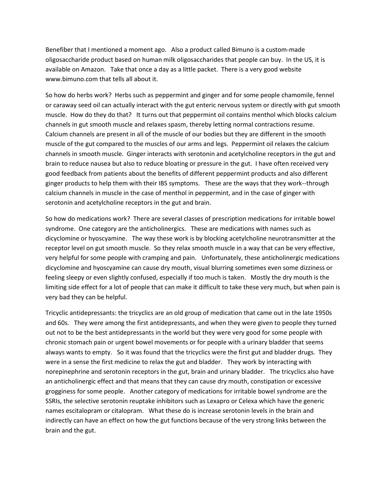Benefiber that I mentioned a moment ago. Also a product called Bimuno is a custom-made oligosaccharide product based on human milk oligosaccharides that people can buy. In the US, it is available on Amazon. Take that once a day as a little packet. There is a very good website www.bimuno.com that tells all about it.

So how do herbs work? Herbs such as peppermint and ginger and for some people chamomile, fennel or caraway seed oil can actually interact with the gut enteric nervous system or directly with gut smooth muscle. How do they do that? It turns out that peppermint oil contains menthol which blocks calcium channels in gut smooth muscle and relaxes spasm, thereby letting normal contractions resume. Calcium channels are present in all of the muscle of our bodies but they are different in the smooth muscle of the gut compared to the muscles of our arms and legs. Peppermint oil relaxes the calcium channels in smooth muscle. Ginger interacts with serotonin and acetylcholine receptors in the gut and brain to reduce nausea but also to reduce bloating or pressure in the gut. I have often received very good feedback from patients about the benefits of different peppermint products and also different ginger products to help them with their IBS symptoms. These are the ways that they work--through calcium channels in muscle in the case of menthol in peppermint, and in the case of ginger with serotonin and acetylcholine receptors in the gut and brain.

So how do medications work? There are several classes of prescription medications for irritable bowel syndrome. One category are the anticholinergics. These are medications with names such as dicyclomine or hyoscyamine. The way these work is by blocking acetylcholine neurotransmitter at the receptor level on gut smooth muscle. So they relax smooth muscle in a way that can be very effective, very helpful for some people with cramping and pain. Unfortunately, these anticholinergic medications dicyclomine and hyoscyamine can cause dry mouth, visual blurring sometimes even some dizziness or feeling sleepy or even slightly confused, especially if too much is taken. Mostly the dry mouth is the limiting side effect for a lot of people that can make it difficult to take these very much, but when pain is very bad they can be helpful.

Tricyclic antidepressants: the tricyclics are an old group of medication that came out in the late 1950s and 60s. They were among the first antidepressants, and when they were given to people they turned out not to be the best antidepressants in the world but they were very good for some people with chronic stomach pain or urgent bowel movements or for people with a urinary bladder that seems always wants to empty. So it was found that the tricyclics were the first gut and bladder drugs. They were in a sense the first medicine to relax the gut and bladder. They work by interacting with norepinephrine and serotonin receptors in the gut, brain and urinary bladder. The tricyclics also have an anticholinergic effect and that means that they can cause dry mouth, constipation or excessive grogginess for some people. Another category of medications for irritable bowel syndrome are the SSRIs, the selective serotonin reuptake inhibitors such as Lexapro or Celexa which have the generic names escitalopram or citalopram. What these do is increase serotonin levels in the brain and indirectly can have an effect on how the gut functions because of the very strong links between the brain and the gut.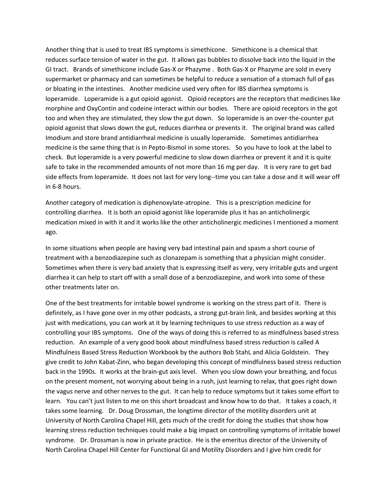Another thing that is used to treat IBS symptoms is simethicone. Simethicone is a chemical that reduces surface tension of water in the gut. It allows gas bubbles to dissolve back into the liquid in the GI tract. Brands of simethicone include Gas-X or Phazyme . Both Gas-X or Phazyme are sold in every supermarket or pharmacy and can sometimes be helpful to reduce a sensation of a stomach full of gas or bloating in the intestines. Another medicine used very often for IBS diarrhea symptoms is loperamide. Loperamide is a gut opioid agonist. Opioid receptors are the receptors that medicines like morphine and OxyContin and codeine interact within our bodies. There are opioid receptors in the got too and when they are stimulated, they slow the gut down. So loperamide is an over-the-counter gut opioid agonist that slows down the gut, reduces diarrhea or prevents it. The original brand was called Imodium and store brand antidiarrheal medicine is usually loperamide. Sometimes antidiarrhea medicine is the same thing that is in Pepto-Bismol in some stores. So you have to look at the label to check. But loperamide is a very powerful medicine to slow down diarrhea or prevent it and it is quite safe to take in the recommended amounts of not more than 16 mg per day. It is very rare to get bad side effects from loperamide. It does not last for very long--time you can take a dose and it will wear off in 6-8 hours.

Another category of medication is diphenoxylate-atropine. This is a prescription medicine for controlling diarrhea. It is both an opioid agonist like loperamide plus it has an anticholinergic medication mixed in with it and it works like the other anticholinergic medicines I mentioned a moment ago.

In some situations when people are having very bad intestinal pain and spasm a short course of treatment with a benzodiazepine such as clonazepam is something that a physician might consider. Sometimes when there is very bad anxiety that is expressing itself as very, very irritable guts and urgent diarrhea it can help to start off with a small dose of a benzodiazepine, and work into some of these other treatments later on.

One of the best treatments for irritable bowel syndrome is working on the stress part of it. There is definitely, as I have gone over in my other podcasts, a strong gut-brain link, and besides working at this just with medications, you can work at it by learning techniques to use stress reduction as a way of controlling your IBS symptoms. One of the ways of doing this is referred to as mindfulness based stress reduction. An example of a very good book about mindfulness based stress reduction is called A Mindfulness Based Stress Reduction Workbook by the authors Bob StahL and Alicia Goldstein. They give credit to John Kabat-Zinn, who began developing this concept of mindfulness based stress reduction back in the 1990s. It works at the brain-gut axis level. When you slow down your breathing, and focus on the present moment, not worrying about being in a rush, just learning to relax, that goes right down the vagus nerve and other nerves to the gut. It can help to reduce symptoms but it takes some effort to learn. You can't just listen to me on this short broadcast and know how to do that. It takes a coach, it takes some learning. Dr. Doug Drossman, the longtime director of the motility disorders unit at University of North Carolina Chapel Hill, gets much of the credit for doing the studies that show how learning stress reduction techniques could make a big impact on controlling symptoms of irritable bowel syndrome. Dr. Drossman is now in private practice. He is the emeritus director of the University of North Carolina Chapel Hill Center for Functional GI and Motility Disorders and I give him credit for